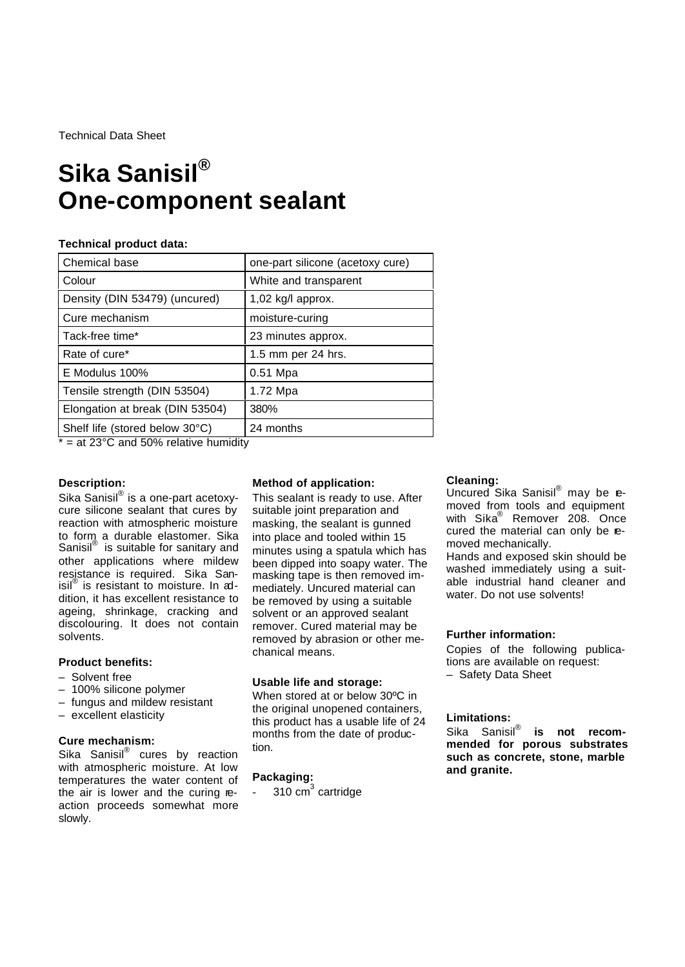Technical Data Sheet

# **Sika Sanisil® One-component sealant**

### **Technical product data:**

| Chemical base                   | one-part silicone (acetoxy cure) |
|---------------------------------|----------------------------------|
| Colour                          | White and transparent            |
| Density (DIN 53479) (uncured)   | 1,02 kg/l approx.                |
| Cure mechanism                  | moisture-curing                  |
| Tack-free time*                 | 23 minutes approx.               |
| Rate of cure*                   | 1.5 mm per 24 hrs.               |
| E Modulus 100%                  | $0.51$ Mpa                       |
| Tensile strength (DIN 53504)    | 1.72 Mpa                         |
| Elongation at break (DIN 53504) | 380%                             |
| Shelf life (stored below 30°C)  | 24 months                        |

 $* = at 23^{\circ}$ C and 50% relative humidity

## **Description:**

Sika Sanisil® is a one-part acetoxycure silicone sealant that cures by reaction with atmospheric moisture to form a durable elastomer. Sika Sanisil® is suitable for sanitary and other applications where mildew resistance is required. Sika Sanisil® is resistant to moisture. In addition, it has excellent resistance to ageing, shrinkage, cracking and discolouring. It does not contain solvents.

#### **Product benefits:**

- Solvent free
- 100% silicone polymer
- fungus and mildew resistant
- excellent elasticity

#### **Cure mechanism:**

Sika Sanisil® cures by reaction with atmospheric moisture. At low temperatures the water content of the air is lower and the curing reaction proceeds somewhat more slowly.

### **Method of application:**

This sealant is ready to use. After suitable joint preparation and masking, the sealant is gunned into place and tooled within 15 minutes using a spatula which has been dipped into soapy water. The masking tape is then removed immediately. Uncured material can be removed by using a suitable solvent or an approved sealant remover. Cured material may be removed by abrasion or other mechanical means.

#### **Usable life and storage:**

When stored at or below 30ºC in the original unopened containers, this product has a usable life of 24 months from the date of production.

## **Packaging:**

 $-310 \text{ cm}^3$  cartridge

#### **Cleaning:**

Uncured Sika Sanisil<sup>®</sup> may be **e**moved from tools and equipment with Sika® Remover 208. Once cured the material can only be removed mechanically.

Hands and exposed skin should be washed immediately using a suitable industrial hand cleaner and water. Do not use solvents!

#### **Further information:**

Copies of the following publications are available on request: – Safety Data Sheet

#### **Limitations:**

Sika Sanisil<sup>®</sup> **is not recommended for porous substrates such as concrete, stone, marble and granite.**